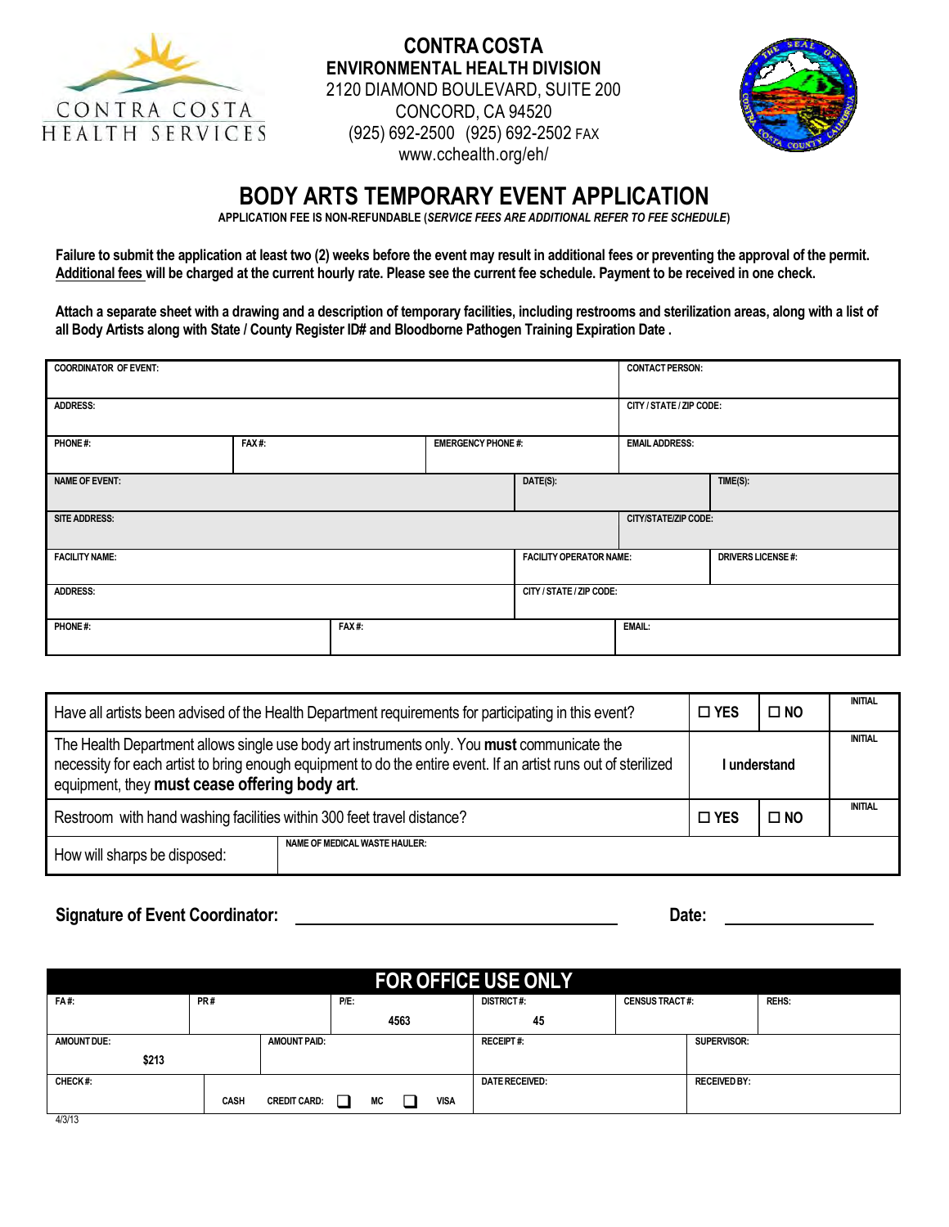

## **CONTRA COSTA ENVIRONMENTAL HEALTH DIVISION**  2120 DIAMOND BOULEVARD, SUITE 200 CONCORD, CA 94520 (925) 692-2500 (925) 692-2502 FAX [www.cchealth.org/eh/](http://www.cchealth.org/eh/)



## **BODY ARTS TEMPORARY EVENT APPLICATION**

**APPLICATION FEE IS NON-REFUNDABLE (***SERVICE FEES ARE ADDITIONAL REFER TO FEE SCHEDULE***)** 

**Failure to submit the application at least two (2) weeks before the event may result in additional fees or preventing the approval of the permit. Additional fees will be charged at the current hourly rate. Please see the current fee schedule. Payment to be received in one check.**

**Attach a separate sheet with a drawing and a description of temporary facilities, including restrooms and sterilization areas, along with a list of all Body Artists along with State / County Register ID# and Bloodborne Pathogen Training Expiration Date .**

| <b>COORDINATOR OF EVENT:</b> |       |       |                           |                                |                             | <b>CONTACT PERSON:</b>   |  |  |
|------------------------------|-------|-------|---------------------------|--------------------------------|-----------------------------|--------------------------|--|--|
| <b>ADDRESS:</b>              |       |       |                           |                                | CITY / STATE / ZIP CODE:    |                          |  |  |
| PHONE#:                      | FAX#: |       | <b>EMERGENCY PHONE #:</b> |                                | <b>EMAIL ADDRESS:</b>       |                          |  |  |
| <b>NAME OF EVENT:</b>        |       |       |                           | DATE(S):                       |                             | TIME(S):                 |  |  |
| <b>SITE ADDRESS:</b>         |       |       |                           |                                | <b>CITY/STATE/ZIP CODE:</b> |                          |  |  |
| <b>FACILITY NAME:</b>        |       |       |                           | <b>FACILITY OPERATOR NAME:</b> |                             | <b>DRIVERS LICENSE#:</b> |  |  |
| <b>ADDRESS:</b>              |       |       |                           |                                | CITY / STATE / ZIP CODE:    |                          |  |  |
| PHONE#:                      |       | FAX#: |                           |                                | <b>EMAIL:</b>               |                          |  |  |

|                                               | Have all artists been advised of the Health Department requirements for participating in this event?<br>$\Box$ YES<br>$\square$ NO                                                                             |              |                |  |  |  |  |
|-----------------------------------------------|----------------------------------------------------------------------------------------------------------------------------------------------------------------------------------------------------------------|--------------|----------------|--|--|--|--|
| equipment, they must cease offering body art. | The Health Department allows single use body art instruments only. You must communicate the<br>necessity for each artist to bring enough equipment to do the entire event. If an artist runs out of sterilized | l understand | <b>INITIAL</b> |  |  |  |  |
|                                               | Restroom with hand washing facilities within 300 feet travel distance?<br>$\square$ YES<br>$\square$ NO                                                                                                        |              |                |  |  |  |  |
| How will sharps be disposed:                  | <b>NAME OF MEDICAL WASTE HAULER:</b>                                                                                                                                                                           |              |                |  |  |  |  |

#### **Signature of Event Coordinator: Date:**

| <b>FOR OFFICE USE ONLY</b> |             |                     |      |    |      |                                            |                       |  |                     |  |
|----------------------------|-------------|---------------------|------|----|------|--------------------------------------------|-----------------------|--|---------------------|--|
| <b>FA#:</b>                | PR#         |                     | P/E: |    |      | <b>DISTRICT#:</b><br><b>CENSUS TRACT#:</b> |                       |  | <b>REHS:</b>        |  |
|                            |             |                     |      |    | 4563 |                                            | 45                    |  |                     |  |
| <b>AMOUNT DUE:</b>         |             | <b>AMOUNT PAID:</b> |      |    |      |                                            | <b>RECEIPT#:</b>      |  | SUPERVISOR:         |  |
| \$213                      |             |                     |      |    |      |                                            |                       |  |                     |  |
| CHECK#:                    |             |                     |      |    |      |                                            | <b>DATE RECEIVED:</b> |  | <b>RECEIVED BY:</b> |  |
|                            | <b>CASH</b> | <b>CREDIT CARD:</b> | ┚    | МC |      | <b>VISA</b>                                |                       |  |                     |  |
| 4/3/13                     |             |                     |      |    |      |                                            |                       |  |                     |  |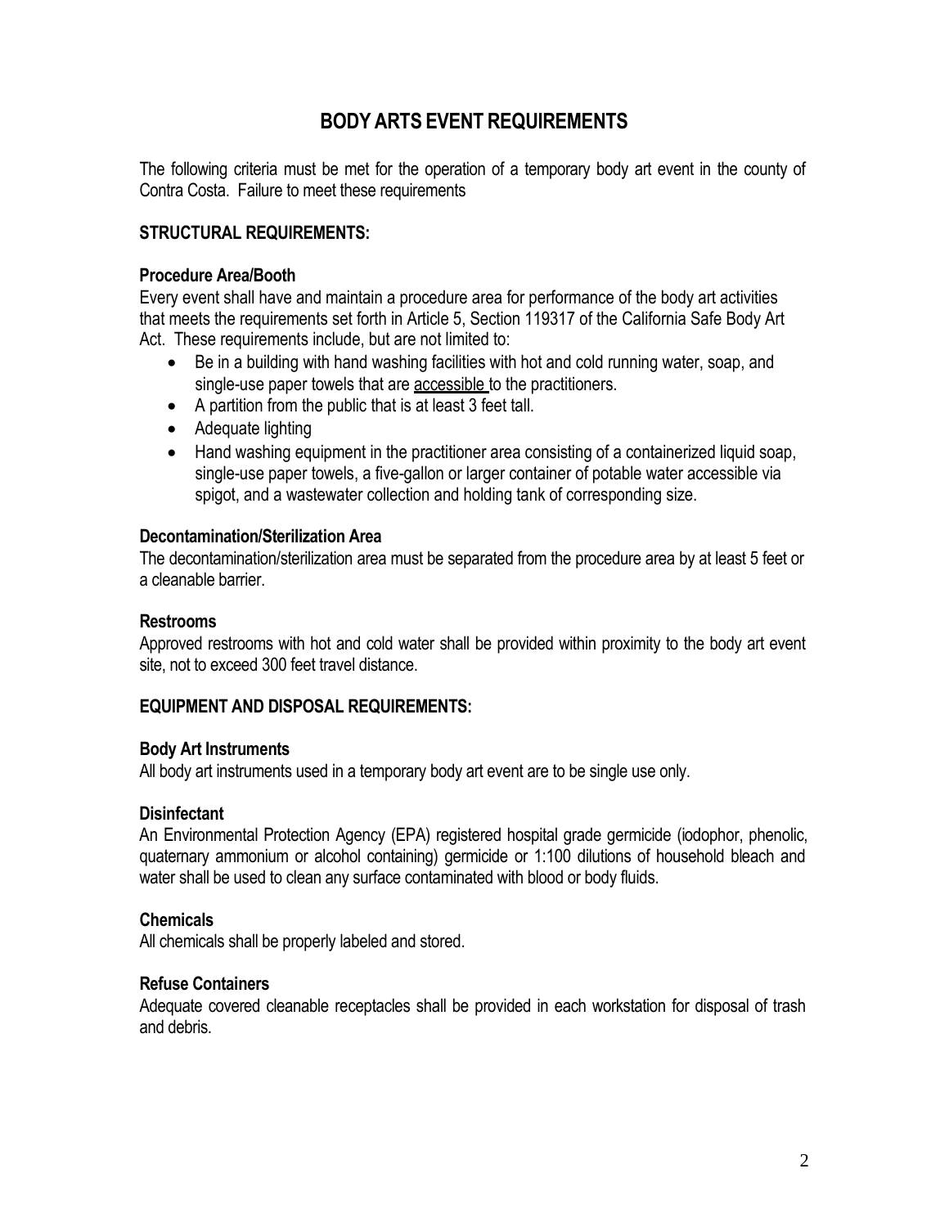# **BODY ARTS EVENT REQUIREMENTS**

The following criteria must be met for the operation of a temporary body art event in the county of Contra Costa. Failure to meet these requirements

## **STRUCTURAL REQUIREMENTS:**

#### **Procedure Area/Booth**

Every event shall have and maintain a procedure area for performance of the body art activities that meets the requirements set forth in Article 5, Section 119317 of the California Safe Body Art Act. These requirements include, but are not limited to:

- Be in a building with hand washing facilities with hot and cold running water, soap, and single-use paper towels that are accessible to the practitioners.
- A partition from the public that is at least 3 feet tall.
- Adequate lighting
- Hand washing equipment in the practitioner area consisting of a containerized liquid soap, single-use paper towels, a five-gallon or larger container of potable water accessible via spigot, and a wastewater collection and holding tank of corresponding size.

#### **Decontamination/Sterilization Area**

The decontamination/sterilization area must be separated from the procedure area by at least 5 feet or a cleanable barrier.

#### **Restrooms**

Approved restrooms with hot and cold water shall be provided within proximity to the body art event site, not to exceed 300 feet travel distance.

#### **EQUIPMENT AND DISPOSAL REQUIREMENTS:**

#### **Body Art Instruments**

All body art instruments used in a temporary body art event are to be single use only.

#### **Disinfectant**

An Environmental Protection Agency (EPA) registered hospital grade germicide (iodophor, phenolic, quaternary ammonium or alcohol containing) germicide or 1:100 dilutions of household bleach and water shall be used to clean any surface contaminated with blood or body fluids.

#### **Chemicals**

All chemicals shall be properly labeled and stored.

#### **Refuse Containers**

Adequate covered cleanable receptacles shall be provided in each workstation for disposal of trash and debris.